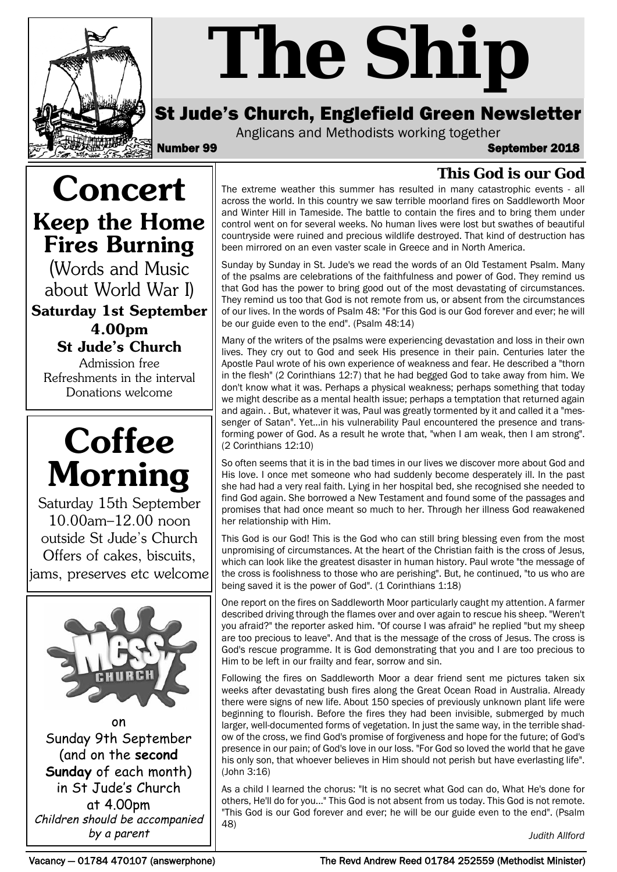

# *The Ship*

# St Jude's Church, Englefield Green Newsletter

Anglicans and Methodists working together

Number 99 September 2018

## **This God is our God**

The extreme weather this summer has resulted in many catastrophic events - all across the world. In this country we saw terrible moorland fires on Saddleworth Moor and Winter Hill in Tameside. The battle to contain the fires and to bring them under control went on for several weeks. No human lives were lost but swathes of beautiful countryside were ruined and precious wildlife destroyed. That kind of destruction has been mirrored on an even vaster scale in Greece and in North America.

Sunday by Sunday in St. Jude's we read the words of an Old Testament Psalm. Many of the psalms are celebrations of the faithfulness and power of God. They remind us that God has the power to bring good out of the most devastating of circumstances. They remind us too that God is not remote from us, or absent from the circumstances of our lives. In the words of Psalm 48: "For this God is our God forever and ever; he will be our guide even to the end". (Psalm 48:14)

Many of the writers of the psalms were experiencing devastation and loss in their own lives. They cry out to God and seek His presence in their pain. Centuries later the Apostle Paul wrote of his own experience of weakness and fear. He described a "thorn in the flesh" (2 Corinthians 12:7) that he had begged God to take away from him. We don't know what it was. Perhaps a physical weakness; perhaps something that today we might describe as a mental health issue; perhaps a temptation that returned again and again. . But, whatever it was, Paul was greatly tormented by it and called it a "messenger of Satan". Yet...in his vulnerability Paul encountered the presence and transforming power of God. As a result he wrote that, "when I am weak, then I am strong". (2 Corinthians 12:10)

So often seems that it is in the bad times in our lives we discover more about God and His love. I once met someone who had suddenly become desperately ill. In the past she had had a very real faith. Lying in her hospital bed, she recognised she needed to find God again. She borrowed a New Testament and found some of the passages and promises that had once meant so much to her. Through her illness God reawakened her relationship with Him.

This God is our God! This is the God who can still bring blessing even from the most unpromising of circumstances. At the heart of the Christian faith is the cross of Jesus, which can look like the greatest disaster in human history. Paul wrote "the message of the cross is foolishness to those who are perishing". But, he continued, "to us who are being saved it is the power of God". (1 Corinthians 1:18)

One report on the fires on Saddleworth Moor particularly caught my attention. A farmer described driving through the flames over and over again to rescue his sheep. "Weren't you afraid?" the reporter asked him. "Of course I was afraid" he replied "but my sheep are too precious to leave". And that is the message of the cross of Jesus. The cross is God's rescue programme. It is God demonstrating that you and I are too precious to Him to be left in our frailty and fear, sorrow and sin.

Following the fires on Saddleworth Moor a dear friend sent me pictures taken six weeks after devastating bush fires along the Great Ocean Road in Australia. Already there were signs of new life. About 150 species of previously unknown plant life were beginning to flourish. Before the fires they had been invisible, submerged by much larger, well-documented forms of vegetation. In just the same way, in the terrible shadow of the cross, we find God's promise of forgiveness and hope for the future; of God's presence in our pain; of God's love in our loss. "For God so loved the world that he gave his only son, that whoever believes in Him should not perish but have everlasting life". (John 3:16)

As a child I learned the chorus: "It is no secret what God can do, What He's done for others, He'll do for you..." This God is not absent from us today. This God is not remote. "This God is our God forever and ever; he will be our guide even to the end". (Psalm 48)

*Judith Allford*

**Keep the Home Fires Burning** (Words and Music

**Concert**

about World War I)

**Saturday 1st September 4.00pm St Jude's Church** Admission free

Refreshments in the interval Donations welcome



Saturday 15th September 10.00am–12.00 noon outside St Jude's Church Offers of cakes, biscuits, jams, preserves etc welcome



in St Jude's Church at 4.00pm Children should be accompanied by a parent